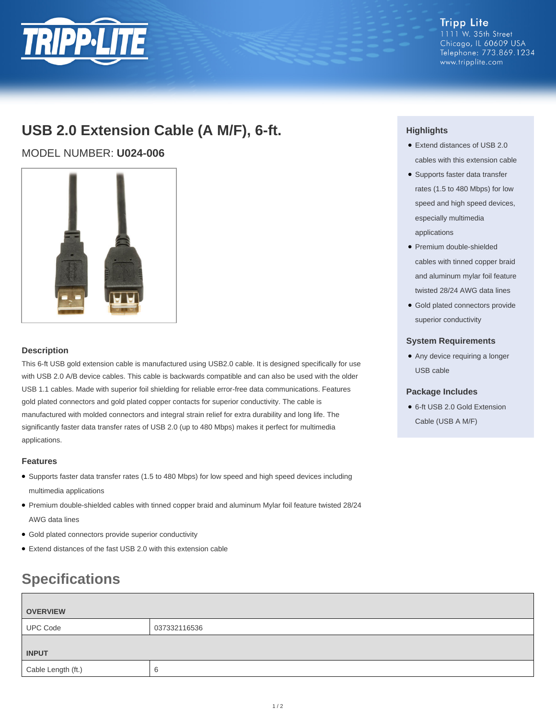

### **Tripp Lite** 1111 W. 35th Street Chicago, IL 60609 USA Telephone: 773.869.1234 www.tripplite.com

# **USB 2.0 Extension Cable (A M/F), 6-ft.**

MODEL NUMBER: **U024-006**



### **Description**

This 6-ft USB gold extension cable is manufactured using USB2.0 cable. It is designed specifically for use with USB 2.0 A/B device cables. This cable is backwards compatible and can also be used with the older USB 1.1 cables. Made with superior foil shielding for reliable error-free data communications. Features gold plated connectors and gold plated copper contacts for superior conductivity. The cable is manufactured with molded connectors and integral strain relief for extra durability and long life. The significantly faster data transfer rates of USB 2.0 (up to 480 Mbps) makes it perfect for multimedia applications.

### **Features**

- Supports faster data transfer rates (1.5 to 480 Mbps) for low speed and high speed devices including multimedia applications
- Premium double-shielded cables with tinned copper braid and aluminum Mylar foil feature twisted 28/24 AWG data lines
- Gold plated connectors provide superior conductivity
- Extend distances of the fast USB 2.0 with this extension cable

# **Specifications**

| <b>OVERVIEW</b>    |              |
|--------------------|--------------|
| <b>UPC Code</b>    | 037332116536 |
| <b>INPUT</b>       |              |
| Cable Length (ft.) |              |

## **Highlights**

- Extend distances of USB 2.0 cables with this extension cable
- Supports faster data transfer rates (1.5 to 480 Mbps) for low speed and high speed devices, especially multimedia applications
- Premium double-shielded cables with tinned copper braid and aluminum mylar foil feature twisted 28/24 AWG data lines
- Gold plated connectors provide superior conductivity

### **System Requirements**

● Any device requiring a longer USB cable

### **Package Includes**

● 6-ft USB 2.0 Gold Extension

Cable (USB A M/F)